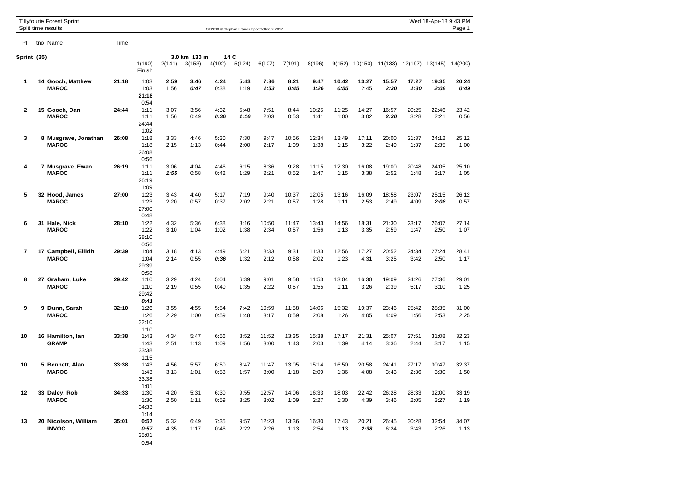| <b>Tillyfourie Forest Sprint</b><br>Split time results |  |                                      | Wed 18-Apr-18 9:43 PM<br>Page 1<br>OE2010 @ Stephan Krämer SportSoftware 2017 |                               |              |              |              |              |               |               |               |               |               |                                        |               |               |               |  |
|--------------------------------------------------------|--|--------------------------------------|-------------------------------------------------------------------------------|-------------------------------|--------------|--------------|--------------|--------------|---------------|---------------|---------------|---------------|---------------|----------------------------------------|---------------|---------------|---------------|--|
| PI                                                     |  | tno Name                             | Time                                                                          |                               |              |              |              |              |               |               |               |               |               |                                        |               |               |               |  |
| Sprint (35)                                            |  |                                      |                                                                               | 3.0 km 130 m<br>14 C          |              |              |              |              |               |               |               |               |               |                                        |               |               |               |  |
|                                                        |  |                                      |                                                                               | 1(190)<br>Finish              | 2(141)       | 3(153)       | 4(192)       | 5(124)       | 6(107)        | 7(191)        | 8(196)        |               |               | 9(152) 10(150) 11(133) 12(197) 13(145) |               |               | 14(200)       |  |
| $\mathbf 1$                                            |  | 14 Gooch, Matthew<br><b>MAROC</b>    | 21:18                                                                         | 1:03<br>1:03<br>21:18<br>0:54 | 2:59<br>1:56 | 3:46<br>0:47 | 4:24<br>0:38 | 5:43<br>1:19 | 7:36<br>1:53  | 8:21<br>0:45  | 9:47<br>1:26  | 10:42<br>0:55 | 13:27<br>2:45 | 15:57<br>2:30                          | 17:27<br>1:30 | 19:35<br>2:08 | 20:24<br>0:49 |  |
| $\mathbf{2}$                                           |  | 15 Gooch, Dan<br><b>MAROC</b>        | 24:44                                                                         | 1:11<br>1:11<br>24:44<br>1:02 | 3:07<br>1:56 | 3:56<br>0:49 | 4:32<br>0:36 | 5:48<br>1:16 | 7:51<br>2:03  | 8:44<br>0:53  | 10:25<br>1:41 | 11:25<br>1:00 | 14:27<br>3:02 | 16:57<br>2:30                          | 20:25<br>3:28 | 22:46<br>2:21 | 23:42<br>0:56 |  |
| 3                                                      |  | 8 Musgrave, Jonathan<br><b>MAROC</b> | 26:08                                                                         | 1:18<br>1:18<br>26:08<br>0:56 | 3:33<br>2:15 | 4:46<br>1:13 | 5:30<br>0:44 | 7:30<br>2:00 | 9:47<br>2:17  | 10:56<br>1:09 | 12:34<br>1:38 | 13:49<br>1:15 | 17:11<br>3:22 | 20:00<br>2:49                          | 21:37<br>1:37 | 24:12<br>2:35 | 25:12<br>1:00 |  |
| 4                                                      |  | 7 Musgrave, Ewan<br><b>MAROC</b>     | 26:19                                                                         | 1:11<br>1:11<br>26:19<br>1:09 | 3:06<br>1:55 | 4:04<br>0:58 | 4:46<br>0:42 | 6:15<br>1:29 | 8:36<br>2:21  | 9:28<br>0:52  | 11:15<br>1:47 | 12:30<br>1:15 | 16:08<br>3:38 | 19:00<br>2:52                          | 20:48<br>1:48 | 24:05<br>3:17 | 25:10<br>1:05 |  |
| 5                                                      |  | 32 Hood, James<br><b>MAROC</b>       | 27:00                                                                         | 1:23<br>1:23<br>27:00<br>0:48 | 3:43<br>2:20 | 4:40<br>0:57 | 5:17<br>0:37 | 7:19<br>2:02 | 9:40<br>2:21  | 10:37<br>0:57 | 12:05<br>1:28 | 13:16<br>1:11 | 16:09<br>2:53 | 18:58<br>2:49                          | 23:07<br>4:09 | 25:15<br>2:08 | 26:12<br>0:57 |  |
| 6                                                      |  | 31 Hale, Nick<br><b>MAROC</b>        | 28:10                                                                         | 1:22<br>1:22<br>28:10<br>0:56 | 4:32<br>3:10 | 5:36<br>1:04 | 6:38<br>1:02 | 8:16<br>1:38 | 10:50<br>2:34 | 11:47<br>0:57 | 13:43<br>1:56 | 14:56<br>1:13 | 18:31<br>3:35 | 21:30<br>2:59                          | 23:17<br>1:47 | 26:07<br>2:50 | 27:14<br>1:07 |  |
| $\overline{\mathbf{r}}$                                |  | 17 Campbell, Eilidh<br><b>MAROC</b>  | 29:39                                                                         | 1:04<br>1:04<br>29:39<br>0:58 | 3:18<br>2:14 | 4:13<br>0:55 | 4:49<br>0:36 | 6:21<br>1:32 | 8:33<br>2:12  | 9:31<br>0:58  | 11:33<br>2:02 | 12:56<br>1:23 | 17:27<br>4:31 | 20:52<br>3:25                          | 24:34<br>3:42 | 27:24<br>2:50 | 28:41<br>1:17 |  |
| 8                                                      |  | 27 Graham, Luke<br><b>MAROC</b>      | 29:42                                                                         | 1:10<br>1:10<br>29:42<br>0:41 | 3:29<br>2:19 | 4:24<br>0:55 | 5:04<br>0:40 | 6:39<br>1:35 | 9:01<br>2:22  | 9:58<br>0:57  | 11:53<br>1:55 | 13:04<br>1:11 | 16:30<br>3:26 | 19:09<br>2:39                          | 24:26<br>5:17 | 27:36<br>3:10 | 29:01<br>1:25 |  |
| 9                                                      |  | 9 Dunn, Sarah<br><b>MAROC</b>        | 32:10                                                                         | 1:26<br>1:26<br>32:10<br>1:10 | 3:55<br>2:29 | 4:55<br>1:00 | 5:54<br>0:59 | 7:42<br>1:48 | 10:59<br>3:17 | 11:58<br>0:59 | 14:06<br>2:08 | 15:32<br>1:26 | 19:37<br>4:05 | 23:46<br>4:09                          | 25:42<br>1:56 | 28:35<br>2:53 | 31:00<br>2:25 |  |
| 10                                                     |  | 16 Hamilton, lan<br><b>GRAMP</b>     | 33:38                                                                         | 1:43<br>1:43<br>33:38<br>1:15 | 4:34<br>2:51 | 5:47<br>1:13 | 6:56<br>1:09 | 8:52<br>1:56 | 11:52<br>3:00 | 13:35<br>1:43 | 15:38<br>2:03 | 17:17<br>1:39 | 21:31<br>4:14 | 25:07<br>3:36                          | 27:51<br>2:44 | 31:08<br>3:17 | 32:23<br>1:15 |  |
| 10                                                     |  | 5 Bennett, Alan<br><b>MAROC</b>      | 33:38                                                                         | 1:43<br>1:43<br>33:38<br>1:01 | 4:56<br>3:13 | 5:57<br>1:01 | 6:50<br>0:53 | 8:47<br>1:57 | 11:47<br>3:00 | 13:05<br>1:18 | 15:14<br>2:09 | 16:50<br>1:36 | 20:58<br>4:08 | 24:41<br>3:43                          | 27:17<br>2:36 | 30:47<br>3:30 | 32:37<br>1:50 |  |
| 12                                                     |  | 33 Daley, Rob<br><b>MAROC</b>        | 34:33                                                                         | 1:30<br>1:30<br>34:33<br>1:14 | 4:20<br>2:50 | 5:31<br>1:11 | 6:30<br>0:59 | 9:55<br>3:25 | 12:57<br>3:02 | 14:06<br>1:09 | 16:33<br>2:27 | 18:03<br>1:30 | 22:42<br>4:39 | 26:28<br>3:46                          | 28:33<br>2:05 | 32:00<br>3:27 | 33:19<br>1:19 |  |
| 13                                                     |  | 20 Nicolson, William<br><b>INVOC</b> | 35:01                                                                         | 0:57<br>0:57<br>35:01<br>0:54 | 5:32<br>4:35 | 6:49<br>1:17 | 7:35<br>0:46 | 9:57<br>2:22 | 12:23<br>2:26 | 13:36<br>1:13 | 16:30<br>2:54 | 17:43<br>1:13 | 20:21<br>2:38 | 26:45<br>6:24                          | 30:28<br>3:43 | 32:54<br>2:26 | 34:07<br>1:13 |  |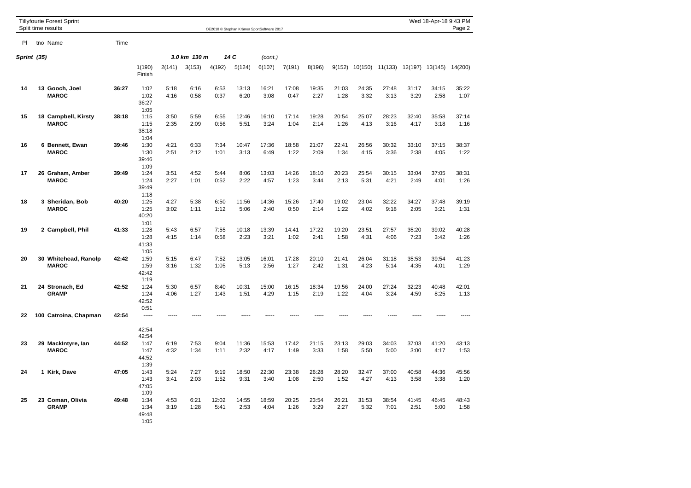| <b>Tillyfourie Forest Sprint</b><br>Split time results |  |                                      | Wed 18-Apr-18 9:43 PM<br>Page 2<br>OE2010 © Stephan Krämer SportSoftware 2017 |                                       |              |              |               |               |               |               |               |               |                |               |                 |               |               |
|--------------------------------------------------------|--|--------------------------------------|-------------------------------------------------------------------------------|---------------------------------------|--------------|--------------|---------------|---------------|---------------|---------------|---------------|---------------|----------------|---------------|-----------------|---------------|---------------|
| PI.                                                    |  | tno Name                             | Time                                                                          |                                       |              |              |               |               |               |               |               |               |                |               |                 |               |               |
| Sprint (35)                                            |  |                                      |                                                                               | 14 C<br>3.0 km 130 m                  |              |              |               |               |               | (cont.)       |               |               |                |               |                 |               |               |
|                                                        |  |                                      |                                                                               | 1(190)<br>Finish                      | 2(141)       | 3(153)       | 4(192)        | 5(124)        | 6(107)        | 7(191)        | 8(196)        |               | 9(152) 10(150) | 11(133)       | 12(197) 13(145) |               | 14(200)       |
| 14                                                     |  | 13 Gooch, Joel<br><b>MAROC</b>       | 36:27                                                                         | 1:02<br>1:02<br>36:27<br>1:05         | 5:18<br>4:16 | 6:16<br>0:58 | 6:53<br>0:37  | 13:13<br>6:20 | 16:21<br>3:08 | 17:08<br>0:47 | 19:35<br>2:27 | 21:03<br>1:28 | 24:35<br>3:32  | 27:48<br>3:13 | 31:17<br>3:29   | 34:15<br>2:58 | 35:22<br>1:07 |
| 15                                                     |  | 18 Campbell, Kirsty<br><b>MAROC</b>  | 38:18                                                                         | 1:15<br>1:15<br>38:18                 | 3:50<br>2:35 | 5:59<br>2:09 | 6:55<br>0:56  | 12:46<br>5:51 | 16:10<br>3:24 | 17:14<br>1:04 | 19:28<br>2:14 | 20:54<br>1:26 | 25:07<br>4:13  | 28:23<br>3:16 | 32:40<br>4:17   | 35:58<br>3:18 | 37:14<br>1:16 |
| 16                                                     |  | 6 Bennett, Ewan<br><b>MAROC</b>      | 39:46                                                                         | 1:04<br>1:30<br>1:30<br>39:46<br>1:09 | 4:21<br>2:51 | 6:33<br>2:12 | 7:34<br>1:01  | 10:47<br>3:13 | 17:36<br>6:49 | 18:58<br>1:22 | 21:07<br>2:09 | 22:41<br>1:34 | 26:56<br>4:15  | 30:32<br>3:36 | 33:10<br>2:38   | 37:15<br>4:05 | 38:37<br>1:22 |
| 17                                                     |  | 26 Graham, Amber<br><b>MAROC</b>     | 39:49                                                                         | 1:24<br>1:24<br>39:49<br>1:18         | 3:51<br>2:27 | 4:52<br>1:01 | 5:44<br>0:52  | 8:06<br>2:22  | 13:03<br>4:57 | 14:26<br>1:23 | 18:10<br>3:44 | 20:23<br>2:13 | 25:54<br>5:31  | 30:15<br>4:21 | 33:04<br>2:49   | 37:05<br>4:01 | 38:31<br>1:26 |
| 18                                                     |  | 3 Sheridan, Bob<br><b>MAROC</b>      | 40:20                                                                         | 1:25<br>1:25<br>40:20<br>1:01         | 4:27<br>3:02 | 5:38<br>1:11 | 6:50<br>1:12  | 11:56<br>5:06 | 14:36<br>2:40 | 15:26<br>0:50 | 17:40<br>2:14 | 19:02<br>1:22 | 23:04<br>4:02  | 32:22<br>9:18 | 34:27<br>2:05   | 37:48<br>3:21 | 39:19<br>1:31 |
| 19                                                     |  | 2 Campbell, Phil                     | 41:33                                                                         | 1:28<br>1:28<br>41:33<br>1:05         | 5:43<br>4:15 | 6:57<br>1:14 | 7:55<br>0:58  | 10:18<br>2:23 | 13:39<br>3:21 | 14:41<br>1:02 | 17:22<br>2:41 | 19:20<br>1:58 | 23:51<br>4:31  | 27:57<br>4:06 | 35:20<br>7:23   | 39:02<br>3:42 | 40:28<br>1:26 |
| 20                                                     |  | 30 Whitehead, Ranolp<br><b>MAROC</b> | 42:42                                                                         | 1:59<br>1:59<br>42:42<br>1:19         | 5:15<br>3:16 | 6:47<br>1:32 | 7:52<br>1:05  | 13:05<br>5:13 | 16:01<br>2:56 | 17:28<br>1:27 | 20:10<br>2:42 | 21:41<br>1:31 | 26:04<br>4:23  | 31:18<br>5:14 | 35:53<br>4:35   | 39:54<br>4:01 | 41:23<br>1:29 |
| 21                                                     |  | 24 Stronach, Ed<br><b>GRAMP</b>      | 42:52                                                                         | 1:24<br>1:24<br>42:52<br>0:51         | 5:30<br>4:06 | 6:57<br>1:27 | 8:40<br>1:43  | 10:31<br>1:51 | 15:00<br>4:29 | 16:15<br>1:15 | 18:34<br>2:19 | 19:56<br>1:22 | 24:00<br>4:04  | 27:24<br>3:24 | 32:23<br>4:59   | 40:48<br>8:25 | 42:01<br>1:13 |
| 22                                                     |  | 100 Catroina, Chapman                | 42:54                                                                         | -----<br>42:54<br>42:54               |              |              |               |               |               |               |               |               |                |               |                 |               |               |
| 23                                                     |  | 29 MackIntyre, Ian<br><b>MAROC</b>   | 44:52                                                                         | 1:47<br>1:47<br>44:52<br>1:39         | 6:19<br>4:32 | 7:53<br>1:34 | 9:04<br>1:11  | 11:36<br>2:32 | 15:53<br>4:17 | 17:42<br>1:49 | 21:15<br>3:33 | 23:13<br>1:58 | 29:03<br>5:50  | 34:03<br>5:00 | 37:03<br>3:00   | 41:20<br>4:17 | 43:13<br>1:53 |
| 24                                                     |  | 1 Kirk, Dave                         | 47:05                                                                         | 1:43<br>1:43<br>47:05<br>1:09         | 5:24<br>3:41 | 7:27<br>2:03 | 9:19<br>1:52  | 18:50<br>9:31 | 22:30<br>3:40 | 23:38<br>1:08 | 26:28<br>2:50 | 28:20<br>1:52 | 32:47<br>4:27  | 37:00<br>4:13 | 40:58<br>3:58   | 44:36<br>3:38 | 45:56<br>1:20 |
| 25                                                     |  | 23 Coman, Olivia<br><b>GRAMP</b>     | 49:48                                                                         | 1:34<br>1:34<br>49:48<br>1:05         | 4:53<br>3:19 | 6:21<br>1:28 | 12:02<br>5:41 | 14:55<br>2:53 | 18:59<br>4:04 | 20:25<br>1:26 | 23:54<br>3:29 | 26:21<br>2:27 | 31:53<br>5:32  | 38:54<br>7:01 | 41:45<br>2:51   | 46:45<br>5:00 | 48:43<br>1:58 |